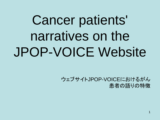# Cancer patients' narratives on the JPOP-VOICE Website

 ウェブサイトJPOP-VOICEにおけるがん 患者の語りの特徴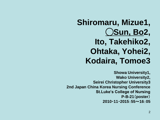#### **Shiromaru, Mizue1,**  ◯**Sun, Bo2, Ito, Takehiko2, Ohtaka, Yohei2, Kodaira, Tomoe3**

**Showa University1, Wako University2, Seirei Christopher University3 2nd Japan China Korea Nursing Conference St.Luke's College of Nursing P-B-21**(**poster**) **2010**・**11**・**2015**:**55**~**16**:**05**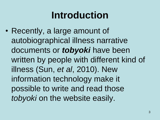# **Introduction**

• Recently, a large amount of autobiographical illness narrative documents or *tobyoki* have been written by people with different kind of illness (Sun, *et al*, 2010). New information technology make it possible to write and read those *tobyoki* on the website easily.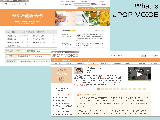| 体験者、医療者からのメッセージ<br><b>JPOP-VOICE</b>                                                | このサイトをご覧になる方へ<br>⊙ サイト内検索<br>Aug Zuut                                                                                                                                                                                                                                                                                                                                                                                                                                          | お問合せ<br>JPOPとは<br>検索<br>however is Google<br>■ 統合失調症と向き合う<br>がんと向き合う                                                                                                                                                                                                                           | What is<br>JPOP-VOICE                                                               |
|-------------------------------------------------------------------------------------|--------------------------------------------------------------------------------------------------------------------------------------------------------------------------------------------------------------------------------------------------------------------------------------------------------------------------------------------------------------------------------------------------------------------------------------------------------------------------------|------------------------------------------------------------------------------------------------------------------------------------------------------------------------------------------------------------------------------------------------------------------------------------------------|-------------------------------------------------------------------------------------|
| がんと向き合う<br>体験者、医療者、支援者の声を<br>動画でご紹介します。                                             |                                                                                                                                                                                                                                                                                                                                                                                                                                                                                |                                                                                                                                                                                                                                                                                                |                                                                                     |
| ▽○ ○ 一体験者·医療者·支援者の声                                                                 | 新着情報 RSS                                                                                                                                                                                                                                                                                                                                                                                                                                                                       | コー新着情報一覧へ                                                                                                                                                                                                                                                                                      |                                                                                     |
| 大腸がん (17) NEW ▶<br>肺がん (3)<br>膵臓がん (1)<br>乳がん (7)<br>Þ<br>子宮頸がん (1)<br>卵巣がん(1)<br>Þ | VOICE<br>Þ<br>2010年6月30日<br>ь<br>₿<br>イベント                                                                                                                                                                                                                                                                                                                                                                                                                                     | 「抗がん剤治療中の過ごし方」に<br>ついて癌研有明病院 看護師の<br>横井麻珠美さんにお話しいただきまし<br>た。NEW<br>在宅ホスピス協会の「第13回全国大会                                                                                                                                                                                                          |                                                                                     |
| 緩和ケア (7)<br>Þ                                                                       | 2010年5月20日                                                                                                                                                                                                                                                                                                                                                                                                                                                                     | in 岐阜」が開催されます。                                                                                                                                                                                                                                                                                 |                                                                                     |
| VOICE + plus<br>就労問題 NEW<br>イベント<br>がんに関するイベントのご案内<br>おしらせ<br>がんに関する情報とJPOPからのおしらせ  | 体験者、医療者からのメッセージ<br><b>JPOP-VOICE</b><br>がんと向き合う<br>大腸がん<br>肺がん                                                                                                                                                                                                                                                                                                                                                                                                                 | トップページへ >><br>乳がん<br>子宮頸がん<br>膵臓がん                                                                                                                                                                                                                                                             | 検索 <b>bonner</b> by Google <sup>-</sup><br>⊙ サイト内検索<br>卵巣がん<br>緩和ケア<br>イベント<br>おしらせ |
|                                                                                     | <b>VOICE</b><br>乳がん<br>体験者<br>医療者<br>支援者<br>山内 梨香ぉん①<br>(やまうち・りか)                                                                                                                                                                                                                                                                                                                                                                                                              | 山内 梨香ぉんの<br>クリックで動画がスタートします<br>(やまうち・りか)<br>看護師<br>盛岡市在住。2005年末、32歳のときに乳がんと診断される。手術<br>後、骨と肝臓に転移するも、抗がん剤、放射線治療、ホルモン療法<br>を経て、順調に回復(その後の経過はこちらをご覧ください)。現在<br>は仕事にも復帰し、看護師として患者さんの身体と心のケアにあた<br>っている。2008年に自らの闘病体験をつづった『がけっぷちナース<br>がんとともに生きる』が2009年3月に飛鳥新社より新装刊。ブログ:<br>「生きてる喜び日記」<br><<<br>->> |                                                                                     |
|                                                                                     | ■ 石ころのようなしこり<br>- 石ころのようなしこり<br>2. 悲しすぎる現実<br>「乳がんになる半年ぐらい前(2004年秋)に、胸に痛みを感じて乳腺外科の先生の所に<br>3. 術後の治療<br>行ったのですが、そのとぎはしこりがマンモグラフィではみつからず、『30歳を過ぎると<br>4. 放射線治療に通う<br>ホルモン(エストロゲン)のせいで痛くなることもある』と言われて、それで少し様子をみ<br>5. 2度目の抗がん剤治療<br>ていました<br>6. 自分の治癒力を信じる<br>半年後の春、しこりが"こりっ"とその痛かった場所にできていたのです。うちの彼がみ<br>7. すべてが巡り合せ<br>「つけて『何かあるよ』ということで触ってみると、本当に石ころのように硬いしこりが触れ<br>8. 弱り目にたたり目一痛<br>1 必须由<br>→ローキー・ダー あんしゅう そんしゃ しょずしょうそう しょそう しゅんそんしょ しょほう コーキング イオーカートリー そんしょそんしょ (手足の) ライニ |                                                                                                                                                                                                                                                                                                |                                                                                     |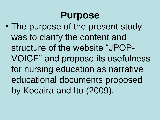#### **Purpose**

• The purpose of the present study was to clarify the content and structure of the website "JPOP-VOICE" and propose its usefulness for nursing education as narrative educational documents proposed by Kodaira and Ito (2009).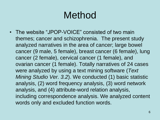# Method

• The website "JPOP-VOICE" consisted of two main themes; cancer and schizophrenia. The present study analyzed narratives in the area of cancer; large bowel cancer (9 male, 5 female), breast cancer (6 female), lung cancer (2 female), cervical cancer (1 female), and ovarian cancer (1 female). Totally narratives of 24 cases were analyzed by using a text mining software (*Text Mining Studio Ver. 3.2*). We conducted (1) basic statistic analysis, (2) word frequency analysis, (3) word network analysis, and (4) attribute-word relation analysis, including correspondence analysis. We analyzed content words only and excluded function words.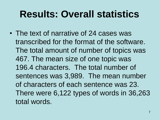#### **Results: Overall statistics**

• The text of narrative of 24 cases was transcribed for the format of the software. The total amount of number of topics was 467. The mean size of one topic was 196.4 characters. The total number of sentences was 3,989. The mean number of characters of each sentence was 23. There were 6,122 types of words in 36,263 total words.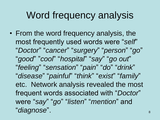# Word frequency analysis

• From the word frequency analysis, the most frequently used words were "*self*" "*Doctor*" "*cancer*" "*surgery*" "*person*" "*go*" "*good*" "*cool*" "*hospital*" "*say*" "*go out*" "*feeling*" "*sensation*" "*pain*" "*do*" "*drink*" "*disease*" "*painful*" "*think*" "*exist*" "*family*" etc. Network analysis revealed the most frequent words associated with "*Doctor*" were "*say*" "*go*" "*listen*" "*mention*" and "*diagnose*".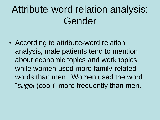# Attribute-word relation analysis: Gender

• According to attribute-word relation analysis, male patients tend to mention about economic topics and work topics, while women used more family-related words than men. Women used the word "*sugoi* (cool)" more frequently than men.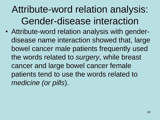# Attribute-word relation analysis: Gender-disease interaction

• Attribute-word relation analysis with genderdisease name interaction showed that, large bowel cancer male patients frequently used the words related to *surgery*, while breast cancer and large bowel cancer female patients tend to use the words related to *medicine (or pills*).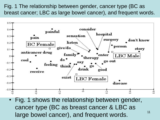Fig. 1 The relationship between gender, cancer type (BC as breast cancer; LBC as large bowel cancer), and frequent words.



Fig. 1 shows the relationship between gender, cancer type (BC as breast cancer & LBC as large bowel cancer), and frequent words.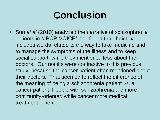# **Conclusion**

• Sun *et al* (2010) analyzed the narrative of schizophrenia patients in "JPOP-VOICE" and found that their text includes words related to the way to take medicine and to manage the symptoms of the illness and to keep social support, while they mentioned less about their doctors. Our results were contrastive to this previous study, because the cancer patient often mentioned about their doctors. That seemed to reflect the difference of the meaning of being a schizophrenia patient *vs*. a cancer patient. People with schizophrenia are more community-oriented while cancer more medical treatment- oriented.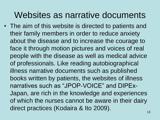#### Websites as narrative documents

• The aim of this website is directed to patients and their family members in order to reduce anxiety about the disease and to increase the courage to face it through motion pictures and voices of real people with the disease as well as medical advice of professionals. Like reading autobiographical illness narrative documents such as published books written by patients, the websites of illness narratives such as "JPOP-VOICE" and DIPEx-Japan, are rich in the knowledge and experiences of which the nurses cannot be aware in their dairy direct practices (Kodaira & Ito 2009).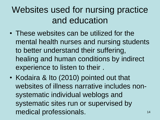#### Websites used for nursing practice and education

- These websites can be utilized for the mental health nurses and nursing students to better understand their suffering, healing and human conditions by indirect experience to listen to their .
- Kodaira & Ito (2010) pointed out that websites of illness narrative includes nonsystematic individual weblogs and systematic sites run or supervised by medical professionals.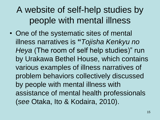#### A website of self-help studies by people with mental illness

• One of the systematic sites of mental illness narratives is **"***Tojisha Kenkyu no Heya* (The room of self help studies)" run by Urakawa Bethel House, which contains various examples of illness narratives of problem behaviors collectively discussed by people with mental illness with assistance of mental health professionals (*see* Otaka, Ito & Kodaira, 2010).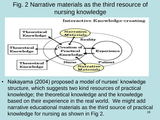#### Fig. 2 Narrative materials as the third resource of nursing knowledge

**Interactive Knowledge-creating** 



16 • Nakayama (2004) proposed a model of nurses' knowledge structure, which suggests two kind resources of practical knowledge; the theoretical knowledge and the knowledge based on their experience in the real world. We might add narrative educational materials as the third source of practical knowledge for nursing as shown in Fig 2.